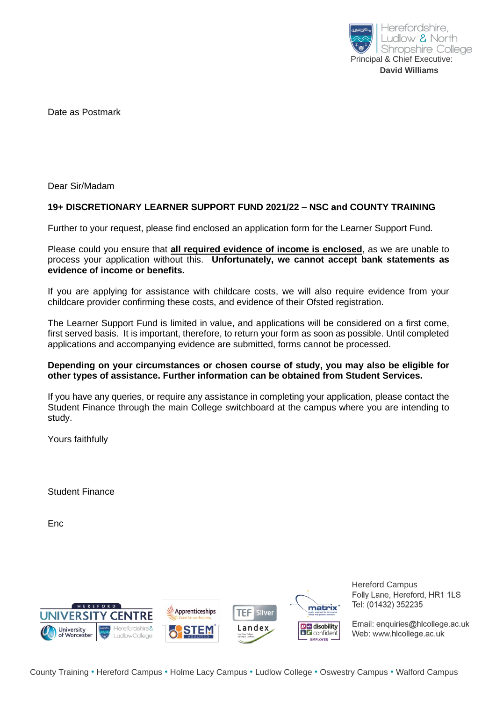

Date as Postmark

Dear Sir/Madam

## **19+ DISCRETIONARY LEARNER SUPPORT FUND 2021/22 – NSC and COUNTY TRAINING**

Further to your request, please find enclosed an application form for the Learner Support Fund.

Please could you ensure that **all required evidence of income is enclosed**, as we are unable to process your application without this. **Unfortunately, we cannot accept bank statements as evidence of income or benefits.**

If you are applying for assistance with childcare costs, we will also require evidence from your childcare provider confirming these costs, and evidence of their Ofsted registration.

The Learner Support Fund is limited in value, and applications will be considered on a first come, first served basis. It is important, therefore, to return your form as soon as possible. Until completed applications and accompanying evidence are submitted, forms cannot be processed.

#### **Depending on your circumstances or chosen course of study, you may also be eligible for other types of assistance. Further information can be obtained from Student Services.**

If you have any queries, or require any assistance in completing your application, please contact the Student Finance through the main College switchboard at the campus where you are intending to study.

Yours faithfully

Student Finance

Enc



Hereford Campus Folly Lane, Hereford, HR1 1LS Tel: (01432) 352235

Email: enquiries@hlcollege.ac.uk Web: www.hlcollege.ac.uk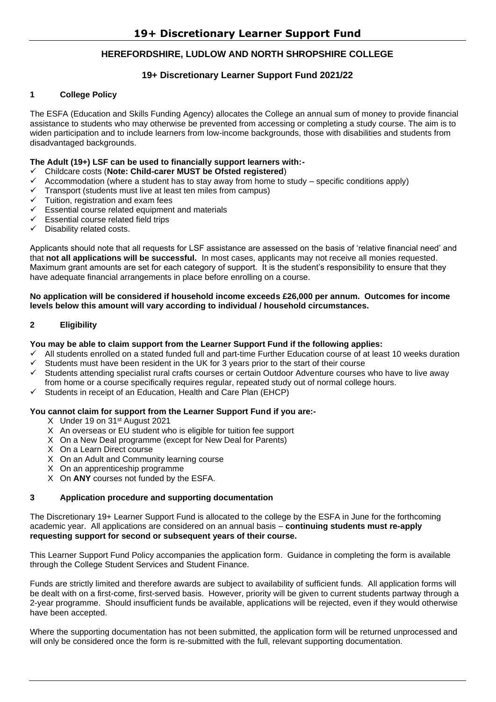## **HEREFORDSHIRE, LUDLOW AND NORTH SHROPSHIRE COLLEGE**

## **19+ Discretionary Learner Support Fund 2021/22**

#### **1 College Policy**

The ESFA (Education and Skills Funding Agency) allocates the College an annual sum of money to provide financial assistance to students who may otherwise be prevented from accessing or completing a study course. The aim is to widen participation and to include learners from low-income backgrounds, those with disabilities and students from disadvantaged backgrounds.

## **The Adult (19+) LSF can be used to financially support learners with:-**

#### ✓ Childcare costs (**Note: Child-carer MUST be Ofsted registered**)

- Accommodation (where a student has to stay away from home to study specific conditions apply)
- $\checkmark$  Transport (students must live at least ten miles from campus)
- ✓ Tuition, registration and exam fees
- $\checkmark$  Essential course related equipment and materials
- $\checkmark$  Essential course related field trips
- ✓ Disability related costs.

Applicants should note that all requests for LSF assistance are assessed on the basis of 'relative financial need' and that **not all applications will be successful.** In most cases, applicants may not receive all monies requested. Maximum grant amounts are set for each category of support. It is the student's responsibility to ensure that they have adequate financial arrangements in place before enrolling on a course.

#### **No application will be considered if household income exceeds £26,000 per annum. Outcomes for income levels below this amount will vary according to individual / household circumstances.**

#### **2 Eligibility**

#### **You may be able to claim support from the Learner Support Fund if the following applies:**

- All students enrolled on a stated funded full and part-time Further Education course of at least 10 weeks duration
- Students must have been resident in the UK for 3 years prior to the start of their course
- Students attending specialist rural crafts courses or certain Outdoor Adventure courses who have to live away
- from home or a course specifically requires regular, repeated study out of normal college hours.
- Students in receipt of an Education, Health and Care Plan (EHCP)

#### **You cannot claim for support from the Learner Support Fund if you are:-**

- X Under 19 on 31st August 2021
- X An overseas or EU student who is eligible for tuition fee support
- X On a New Deal programme (except for New Deal for Parents)
- X On a Learn Direct course
- X On an Adult and Community learning course
- X On an apprenticeship programme
- X On **ANY** courses not funded by the ESFA.

#### **3 Application procedure and supporting documentation**

The Discretionary 19+ Learner Support Fund is allocated to the college by the ESFA in June for the forthcoming academic year. All applications are considered on an annual basis – **continuing students must re-apply requesting support for second or subsequent years of their course.**

This Learner Support Fund Policy accompanies the application form. Guidance in completing the form is available through the College Student Services and Student Finance.

Funds are strictly limited and therefore awards are subject to availability of sufficient funds. All application forms will be dealt with on a first-come, first-served basis. However, priority will be given to current students partway through a 2-year programme. Should insufficient funds be available, applications will be rejected, even if they would otherwise have been accepted.

Where the supporting documentation has not been submitted, the application form will be returned unprocessed and will only be considered once the form is re-submitted with the full, relevant supporting documentation.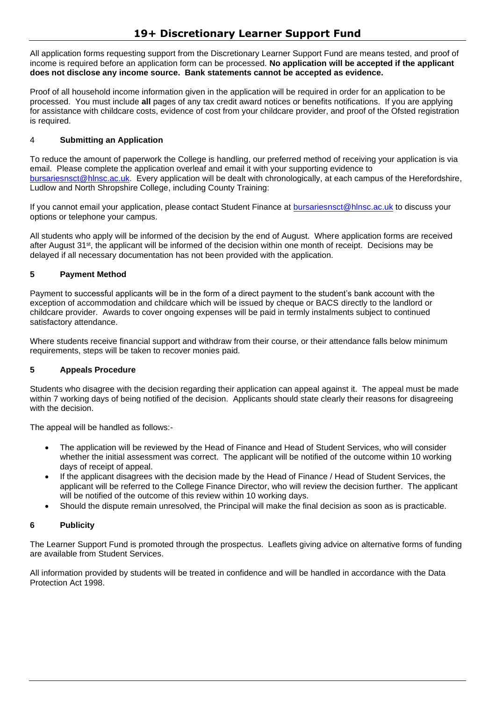All application forms requesting support from the Discretionary Learner Support Fund are means tested, and proof of income is required before an application form can be processed. **No application will be accepted if the applicant does not disclose any income source. Bank statements cannot be accepted as evidence.**

Proof of all household income information given in the application will be required in order for an application to be processed. You must include **all** pages of any tax credit award notices or benefits notifications. If you are applying for assistance with childcare costs, evidence of cost from your childcare provider, and proof of the Ofsted registration is required.

## 4 **Submitting an Application**

To reduce the amount of paperwork the College is handling, our preferred method of receiving your application is via email. Please complete the application overleaf and email it with your supporting evidence to [bursariesnsct@hlnsc.ac.uk.](mailto:bursariesnsct@hlnsc.ac.uk) Every application will be dealt with chronologically, at each campus of the Herefordshire, Ludlow and North Shropshire College, including County Training:

If you cannot email your application, please contact Student Finance at [bursariesnsct@hlnsc.ac.uk](mailto:bursariesnsct@hlnsc.ac.uk) to discuss your options or telephone your campus.

All students who apply will be informed of the decision by the end of August. Where application forms are received after August 31st, the applicant will be informed of the decision within one month of receipt. Decisions may be delayed if all necessary documentation has not been provided with the application.

## **5 Payment Method**

Payment to successful applicants will be in the form of a direct payment to the student's bank account with the exception of accommodation and childcare which will be issued by cheque or BACS directly to the landlord or childcare provider. Awards to cover ongoing expenses will be paid in termly instalments subject to continued satisfactory attendance.

Where students receive financial support and withdraw from their course, or their attendance falls below minimum requirements, steps will be taken to recover monies paid.

## **5 Appeals Procedure**

Students who disagree with the decision regarding their application can appeal against it. The appeal must be made within 7 working days of being notified of the decision. Applicants should state clearly their reasons for disagreeing with the decision

The appeal will be handled as follows:-

- The application will be reviewed by the Head of Finance and Head of Student Services, who will consider whether the initial assessment was correct. The applicant will be notified of the outcome within 10 working days of receipt of appeal.
- If the applicant disagrees with the decision made by the Head of Finance / Head of Student Services, the applicant will be referred to the College Finance Director, who will review the decision further. The applicant will be notified of the outcome of this review within 10 working days.
- Should the dispute remain unresolved, the Principal will make the final decision as soon as is practicable.

## **6 Publicity**

The Learner Support Fund is promoted through the prospectus. Leaflets giving advice on alternative forms of funding are available from Student Services.

All information provided by students will be treated in confidence and will be handled in accordance with the Data Protection Act 1998.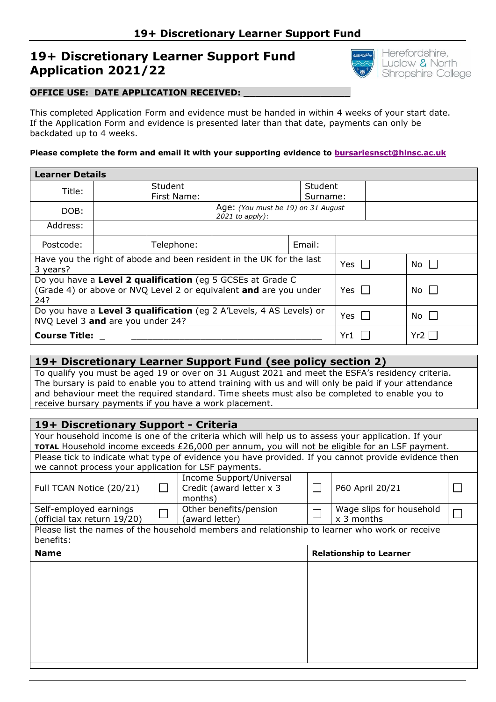# **19+ Discretionary Learner Support Fund Application 2021/22**



## **OFFICE USE: DATE APPLICATION RECEIVED:**

This completed Application Form and evidence must be handed in within 4 weeks of your start date. If the Application Form and evidence is presented later than that date, payments can only be backdated up to 4 weeks.

#### **Please complete the form and email it with your supporting evidence to [bursariesnsct@hlnsc.ac.uk](mailto:bursariesnsct@hlnsc.ac.uk)**

| <b>Learner Details</b>                                                                                                                                         |                |              |                                                         |        |  |  |      |  |
|----------------------------------------------------------------------------------------------------------------------------------------------------------------|----------------|--------------|---------------------------------------------------------|--------|--|--|------|--|
| Title:                                                                                                                                                         | <b>Student</b> |              | Student                                                 |        |  |  |      |  |
|                                                                                                                                                                | First Name:    |              | Surname:                                                |        |  |  |      |  |
| DOB:                                                                                                                                                           |                |              | Age: (You must be 19) on 31 August<br>$2021$ to apply): |        |  |  |      |  |
| Address:                                                                                                                                                       |                |              |                                                         |        |  |  |      |  |
| Postcode:                                                                                                                                                      |                | Telephone:   |                                                         | Email: |  |  |      |  |
| Have you the right of abode and been resident in the UK for the last                                                                                           |                | $Yes$ $\Box$ |                                                         | No I   |  |  |      |  |
| 3 years?                                                                                                                                                       |                |              |                                                         |        |  |  |      |  |
| Do you have a Level 2 qualification (eg 5 GCSEs at Grade C<br>(Grade 4) or above or NVQ Level 2 or equivalent and are you under<br>$No$ $\Box$<br>Yes l<br>24? |                |              |                                                         |        |  |  |      |  |
| Do you have a Level 3 qualification (eg 2 A'Levels, 4 AS Levels) or<br>NVQ Level 3 and are you under 24?                                                       |                |              |                                                         |        |  |  | No I |  |
| <b>Course Title:</b>                                                                                                                                           |                |              |                                                         |        |  |  | Yr2  |  |

## **19+ Discretionary Learner Support Fund (see policy section 2)**

To qualify you must be aged 19 or over on 31 August 2021 and meet the ESFA's residency criteria. The bursary is paid to enable you to attend training with us and will only be paid if your attendance and behaviour meet the required standard. Time sheets must also be completed to enable you to receive bursary payments if you have a work placement.

## **19+ Discretionary Support - Criteria**

Your household income is one of the criteria which will help us to assess your application. If your **TOTAL** Household income exceeds £26,000 per annum, you will not be eligible for an LSF payment. Please tick to indicate what type of evidence you have provided. If you cannot provide evidence then we cannot process your application for LSF payments.

| <b>Name</b>                                                                                                 | <b>Relationship to Learner</b> |                                                                 |  |                                        |  |  |  |  |
|-------------------------------------------------------------------------------------------------------------|--------------------------------|-----------------------------------------------------------------|--|----------------------------------------|--|--|--|--|
| Please list the names of the household members and relationship to learner who work or receive<br>benefits: |                                |                                                                 |  |                                        |  |  |  |  |
| Self-employed earnings<br>(official tax return 19/20)                                                       |                                | Other benefits/pension<br>(award letter)                        |  | Wage slips for household<br>x 3 months |  |  |  |  |
| Full TCAN Notice (20/21)                                                                                    |                                | Income Support/Universal<br>Credit (award letter x 3<br>months) |  | P60 April 20/21                        |  |  |  |  |